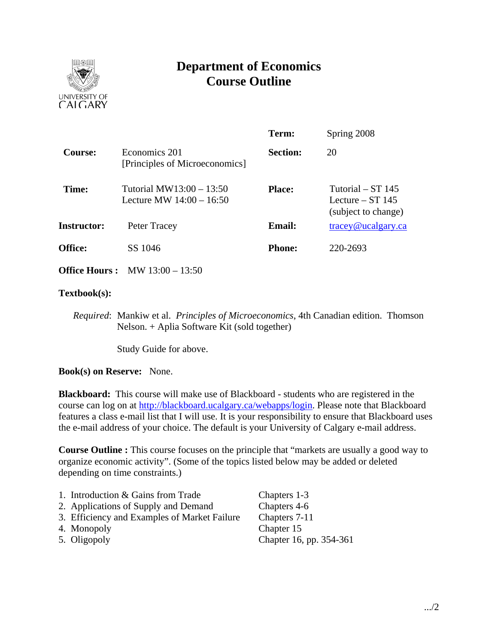

# **Department of Economics Course Outline**

|                      |                                                          | Term:           | Spring 2008                                                      |  |
|----------------------|----------------------------------------------------------|-----------------|------------------------------------------------------------------|--|
| Course:              | Economics 201<br>[Principles of Microeconomics]          | <b>Section:</b> | 20                                                               |  |
| Time:                | Tutorial MW13:00 - $13:50$<br>Lecture MW $14:00 - 16:50$ | <b>Place:</b>   | Tutorial $- ST$ 145<br>Lecture $-$ ST 145<br>(subject to change) |  |
| <b>Instructor:</b>   | Peter Tracey                                             | <b>Email:</b>   | $trace$ y@ucalgary.ca                                            |  |
| <b>Office:</b>       | SS 1046                                                  | <b>Phone:</b>   | 220-2693                                                         |  |
| <b>Office Hours:</b> | MW $13:00 - 13:50$                                       |                 |                                                                  |  |

### **Textbook(s):**

*Required*: Mankiw et al. *Principles of Microeconomics*, 4th Canadian edition. Thomson Nelson. + Aplia Software Kit (sold together)

Study Guide for above.

**Book(s) on Reserve:** None.

**Blackboard:** This course will make use of Blackboard - students who are registered in the course can log on at http://blackboard.ucalgary.ca/webapps/login. Please note that Blackboard features a class e-mail list that I will use. It is your responsibility to ensure that Blackboard uses the e-mail address of your choice. The default is your University of Calgary e-mail address.

**Course Outline :** This course focuses on the principle that "markets are usually a good way to organize economic activity". (Some of the topics listed below may be added or deleted depending on time constraints.)

- 1. Introduction & Gains from Trade Chapters 1-3 2. Applications of Supply and Demand Chapters 4-6 3. Efficiency and Examples of Market Failure Chapters 7-11 4. Monopoly Chapter 15
- 

5. Oligopoly Chapter 16, pp. 354-361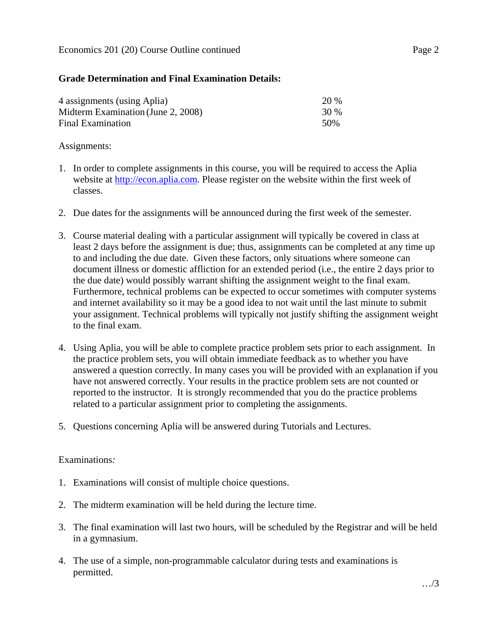## **Grade Determination and Final Examination Details:**

| 4 assignments (using Aplia)        | 20 % |
|------------------------------------|------|
| Midterm Examination (June 2, 2008) | 30 % |
| Final Examination                  | 50%  |

## Assignments:

- 1. In order to complete assignments in this course, you will be required to access the Aplia website at http://econ.aplia.com. Please register on the website within the first week of classes.
- 2. Due dates for the assignments will be announced during the first week of the semester.
- 3. Course material dealing with a particular assignment will typically be covered in class at least 2 days before the assignment is due; thus, assignments can be completed at any time up to and including the due date. Given these factors, only situations where someone can document illness or domestic affliction for an extended period (i.e., the entire 2 days prior to the due date) would possibly warrant shifting the assignment weight to the final exam. Furthermore, technical problems can be expected to occur sometimes with computer systems and internet availability so it may be a good idea to not wait until the last minute to submit your assignment. Technical problems will typically not justify shifting the assignment weight to the final exam.
- 4. Using Aplia, you will be able to complete practice problem sets prior to each assignment. In the practice problem sets, you will obtain immediate feedback as to whether you have answered a question correctly. In many cases you will be provided with an explanation if you have not answered correctly. Your results in the practice problem sets are not counted or reported to the instructor. It is strongly recommended that you do the practice problems related to a particular assignment prior to completing the assignments.
- 5. Questions concerning Aplia will be answered during Tutorials and Lectures.

### Examinations*:*

- 1. Examinations will consist of multiple choice questions.
- 2. The midterm examination will be held during the lecture time.
- 3. The final examination will last two hours, will be scheduled by the Registrar and will be held in a gymnasium.
- 4. The use of a simple, non-programmable calculator during tests and examinations is permitted.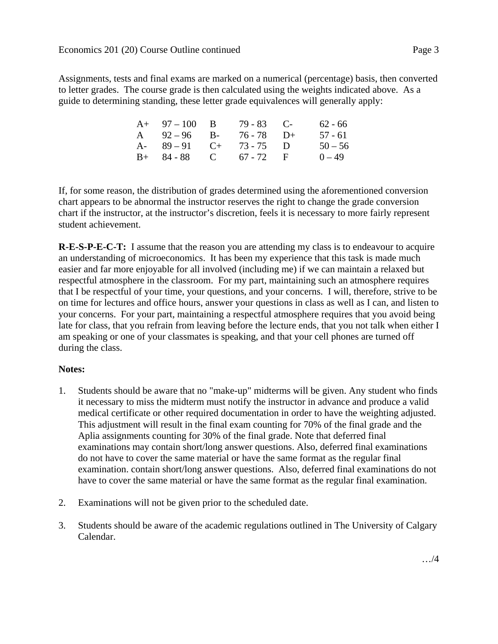Assignments, tests and final exams are marked on a numerical (percentage) basis, then converted to letter grades. The course grade is then calculated using the weights indicated above. As a guide to determining standing, these letter grade equivalences will generally apply:

| $A+ 97-100 B$           | $79 - 83$ C- | $62 - 66$ |
|-------------------------|--------------|-----------|
| A $92-96$ B- $76-78$ D+ |              | $57 - 61$ |
| A- $89-91$ C+ 73-75 D   |              | $50 - 56$ |
| $B+ 84-88$ C 67 - 72 F  |              | $0 - 49$  |

If, for some reason, the distribution of grades determined using the aforementioned conversion chart appears to be abnormal the instructor reserves the right to change the grade conversion chart if the instructor, at the instructor's discretion, feels it is necessary to more fairly represent student achievement.

**R-E-S-P-E-C-T:** I assume that the reason you are attending my class is to endeavour to acquire an understanding of microeconomics. It has been my experience that this task is made much easier and far more enjoyable for all involved (including me) if we can maintain a relaxed but respectful atmosphere in the classroom. For my part, maintaining such an atmosphere requires that I be respectful of your time, your questions, and your concerns. I will, therefore, strive to be on time for lectures and office hours, answer your questions in class as well as I can, and listen to your concerns. For your part, maintaining a respectful atmosphere requires that you avoid being late for class, that you refrain from leaving before the lecture ends, that you not talk when either I am speaking or one of your classmates is speaking, and that your cell phones are turned off during the class.

# **Notes:**

- 1. Students should be aware that no "make-up" midterms will be given. Any student who finds it necessary to miss the midterm must notify the instructor in advance and produce a valid medical certificate or other required documentation in order to have the weighting adjusted. This adjustment will result in the final exam counting for 70% of the final grade and the Aplia assignments counting for 30% of the final grade. Note that deferred final examinations may contain short/long answer questions. Also, deferred final examinations do not have to cover the same material or have the same format as the regular final examination. contain short/long answer questions. Also, deferred final examinations do not have to cover the same material or have the same format as the regular final examination.
- 2. Examinations will not be given prior to the scheduled date.
- 3. Students should be aware of the academic regulations outlined in The University of Calgary Calendar.